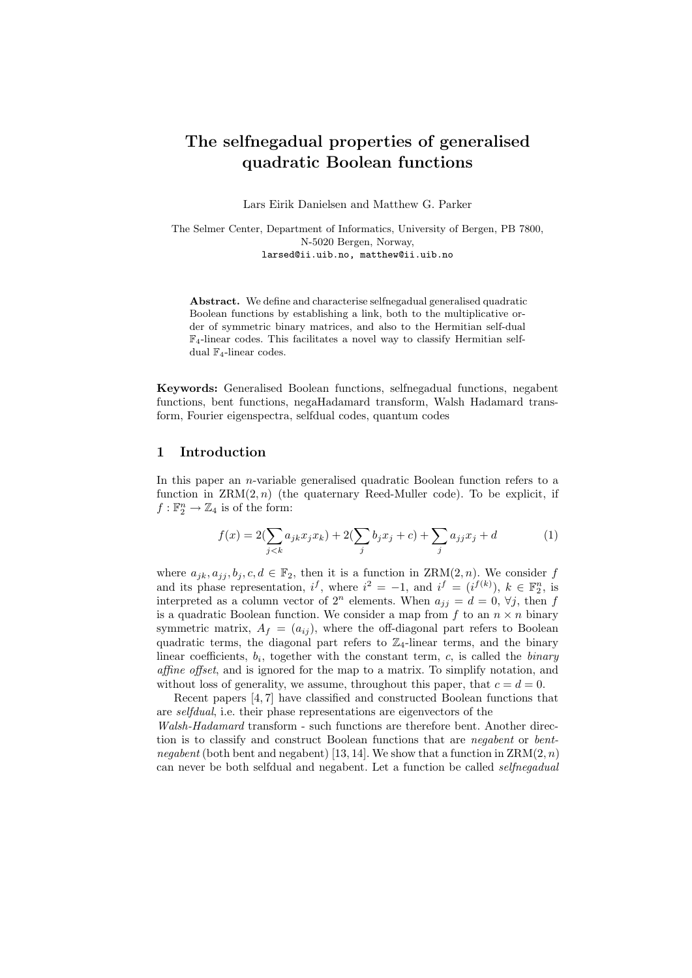# The selfnegadual properties of generalised quadratic Boolean functions

Lars Eirik Danielsen and Matthew G. Parker

The Selmer Center, Department of Informatics, University of Bergen, PB 7800, N-5020 Bergen, Norway, larsed@ii.uib.no, matthew@ii.uib.no

Abstract. We define and characterise selfnegadual generalised quadratic Boolean functions by establishing a link, both to the multiplicative order of symmetric binary matrices, and also to the Hermitian self-dual  $\mathbb{F}_4$ -linear codes. This facilitates a novel way to classify Hermitian selfdual  $\mathbb{F}_4$ -linear codes.

Keywords: Generalised Boolean functions, selfnegadual functions, negabent functions, bent functions, negaHadamard transform, Walsh Hadamard transform, Fourier eigenspectra, selfdual codes, quantum codes

#### 1 Introduction

In this paper an  $n$ -variable generalised quadratic Boolean function refers to a function in  $\text{ZRM}(2, n)$  (the quaternary Reed-Muller code). To be explicit, if  $f: \mathbb{F}_2^n \to \mathbb{Z}_4$  is of the form:

$$
f(x) = 2(\sum_{j < k} a_{jk} x_j x_k) + 2(\sum_j b_j x_j + c) + \sum_j a_{jj} x_j + d \tag{1}
$$

where  $a_{ik}, a_{ij}, b_i, c, d \in \mathbb{F}_2$ , then it is a function in  $\text{ZRM}(2, n)$ . We consider f and its phase representation,  $i^f$ , where  $i^2 = -1$ , and  $i^f = (i^{f(k)})$ ,  $k \in \mathbb{F}_2^n$ , is interpreted as a column vector of  $2^n$  elements. When  $a_{jj} = d = 0, \forall j$ , then f is a quadratic Boolean function. We consider a map from  $f$  to an  $n \times n$  binary symmetric matrix,  $A_f = (a_{ij})$ , where the off-diagonal part refers to Boolean quadratic terms, the diagonal part refers to  $\mathbb{Z}_4$ -linear terms, and the binary linear coefficients,  $b_i$ , together with the constant term, c, is called the *binary* affine offset, and is ignored for the map to a matrix. To simplify notation, and without loss of generality, we assume, throughout this paper, that  $c = d = 0$ .

Recent papers [4, 7] have classified and constructed Boolean functions that are selfdual, i.e. their phase representations are eigenvectors of the Walsh-Hadamard transform - such functions are therefore bent. Another direction is to classify and construct Boolean functions that are *negabent* or *bent*negabent (both bent and negabent) [13, 14]. We show that a function in  $\text{ZRM}(2, n)$ can never be both selfdual and negabent. Let a function be called selfnegadual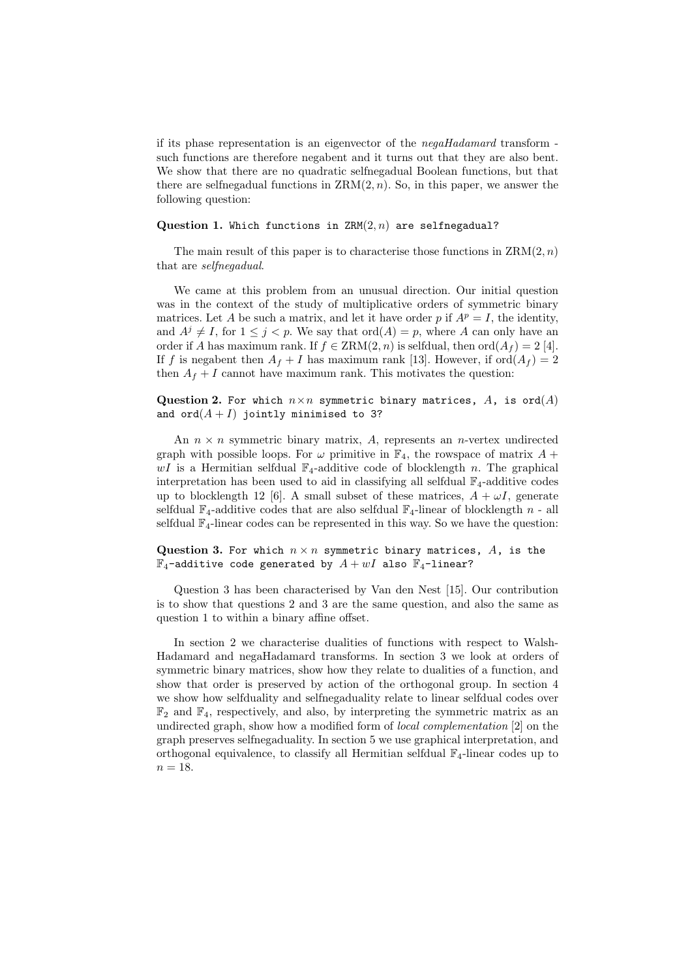if its phase representation is an eigenvector of the negaHadamard transform such functions are therefore negabent and it turns out that they are also bent. We show that there are no quadratic selfnegadual Boolean functions, but that there are selfnegadual functions in  $ZRM(2, n)$ . So, in this paper, we answer the following question:

#### Question 1. Which functions in  $ZRM(2, n)$  are selfnegadual?

The main result of this paper is to characterise those functions in  $\text{ZRM}(2, n)$ that are selfnegadual.

We came at this problem from an unusual direction. Our initial question was in the context of the study of multiplicative orders of symmetric binary matrices. Let A be such a matrix, and let it have order p if  $A^p = I$ , the identity, and  $A^{j} \neq I$ , for  $1 \leq j \leq p$ . We say that  $\text{ord}(A) = p$ , where A can only have an order if A has maximum rank. If  $f \in \text{ZRM}(2, n)$  is selfdual, then  $\text{ord}(A_f) = 2$  [4]. If f is negabent then  $A_f + I$  has maximum rank [13]. However, if  $\text{ord}(A_f) = 2$ then  $A_f + I$  cannot have maximum rank. This motivates the question:

#### Question 2. For which  $n \times n$  symmetric binary matrices, A, is ord(A) and  $\text{ord}(A + I)$  jointly minimised to 3?

An  $n \times n$  symmetric binary matrix, A, represents an *n*-vertex undirected graph with possible loops. For  $\omega$  primitive in  $\mathbb{F}_4$ , the rowspace of matrix  $A +$  $wI$  is a Hermitian selfdual  $\mathbb{F}_4$ -additive code of blocklength n. The graphical interpretation has been used to aid in classifying all selfdual  $\mathbb{F}_4$ -additive codes up to blocklength 12 [6]. A small subset of these matrices,  $A + \omega I$ , generate selfdual  $\mathbb{F}_4$ -additive codes that are also selfdual  $\mathbb{F}_4$ -linear of blocklength n - all selfdual  $\mathbb{F}_4$ -linear codes can be represented in this way. So we have the question:

#### Question 3. For which  $n \times n$  symmetric binary matrices,  $A$ , is the  $\mathbb{F}_4$ -additive code generated by  $A+wI$  also  $\mathbb{F}_4$ -linear?

Question 3 has been characterised by Van den Nest [15]. Our contribution is to show that questions 2 and 3 are the same question, and also the same as question 1 to within a binary affine offset.

In section 2 we characterise dualities of functions with respect to Walsh-Hadamard and negaHadamard transforms. In section 3 we look at orders of symmetric binary matrices, show how they relate to dualities of a function, and show that order is preserved by action of the orthogonal group. In section 4 we show how selfduality and selfnegaduality relate to linear selfdual codes over  $\mathbb{F}_2$  and  $\mathbb{F}_4$ , respectively, and also, by interpreting the symmetric matrix as an undirected graph, show how a modified form of local complementation [2] on the graph preserves selfnegaduality. In section 5 we use graphical interpretation, and orthogonal equivalence, to classify all Hermitian selfdual  $\mathbb{F}_4$ -linear codes up to  $n = 18$ .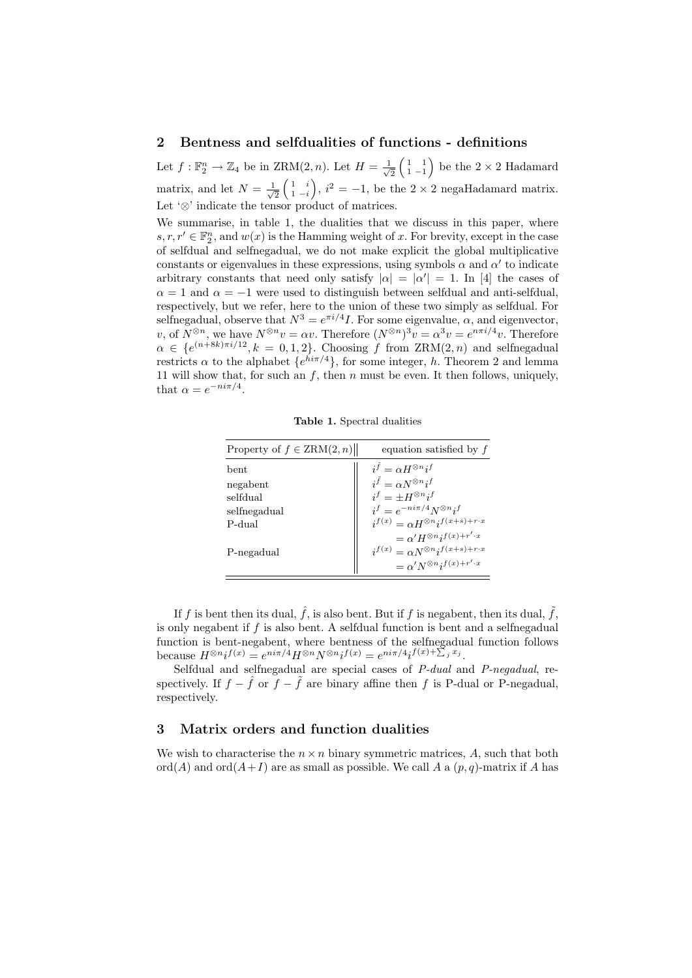#### 2 Bentness and selfdualities of functions - definitions

Let  $f: \mathbb{F}_2^n \to \mathbb{Z}_4$  be in ZRM $(2, n)$ . Let  $H = \frac{1}{\sqrt{n}}$  $\frac{1}{2} \begin{pmatrix} 1 & 1 \\ 1 & -1 \end{pmatrix}$  be the  $2 \times 2$  Hadamard matrix, and let  $N = \frac{1}{\sqrt{2}}$  $\frac{1}{2} \begin{pmatrix} 1 & i \\ 1 & -i \end{pmatrix}$ ,  $i^2 = -1$ , be the  $2 \times 2$  negaliadamard matrix. Let '⊗' indicate the tensor product of matrices.

We summarise, in table 1, the dualities that we discuss in this paper, where  $s, r, r' \in \mathbb{F}_2^n$ , and  $w(x)$  is the Hamming weight of x. For brevity, except in the case of selfdual and selfnegadual, we do not make explicit the global multiplicative constants or eigenvalues in these expressions, using symbols  $\alpha$  and  $\alpha'$  to indicate arbitrary constants that need only satisfy  $|\alpha| = |\alpha'| = 1$ . In [4] the cases of  $\alpha = 1$  and  $\alpha = -1$  were used to distinguish between selfdual and anti-selfdual, respectively, but we refer, here to the union of these two simply as selfdual. For selfnegadual, observe that  $N^3 = e^{\pi i/4}I$ . For some eigenvalue,  $\alpha$ , and eigenvector, v, of  $N^{\otimes n}$ , we have  $N^{\otimes n}v = \alpha v$ . Therefore  $(N^{\otimes n})^3v = \alpha^3v = e^{n\pi i/4}v$ . Therefore  $\alpha \in \{e^{(n+8k)\pi i/12}, k = 0, 1, 2\}$ . Choosing f from  $\text{ZRM}(2, n)$  and selfnegadual restricts  $\alpha$  to the alphabet  $\{e^{hi\pi/4}\}\$ , for some integer, h. Theorem 2 and lemma 11 will show that, for such an  $f$ , then  $n$  must be even. It then follows, uniquely, that  $\alpha = e^{-ni\pi/4}$ .

Table 1. Spectral dualities

| Property of $f \in \text{ZRM}(2,n)$ | equation satisfied by $f$                              |
|-------------------------------------|--------------------------------------------------------|
| bent                                | $i^{\hat{f}} \equiv \alpha H^{\otimes n} i^f$          |
| negabent                            | $i^{\tilde{f}} = \alpha N^{\otimes n} i^f$             |
| selfdual                            | $i^f = \pm H^{\otimes n} i^f$                          |
| selfnegadual                        | $i^f = e^{-ni\pi/4} N^{\otimes n} i^f$                 |
| P-dual                              | $i^{f(x)} = \alpha H^{\otimes n} i^{f(x+s)+r\cdot x}$  |
|                                     | $= \alpha' H^{\otimes n} i^{f(x) + r' \cdot x}$        |
| P-negadual                          | $i^{f(x)} = \alpha N^{\otimes n} i^{f(x+s)+r \cdot x}$ |
|                                     | $= \alpha' N^{\otimes n} i^{f(x) + r' \cdot x}$        |

If f is bent then its dual,  $\hat{f}$ , is also bent. But if f is negabent, then its dual,  $\tilde{f}$ , is only negabent if  $f$  is also bent. A selfdual function is bent and a selfnegadual function is bent-negabent, where bentness of the selfnegadual function follows because  $H^{\otimes n}i^{f(x)} = e^{ni\pi/4}H^{\otimes n}N^{\otimes n}i^{f(x)} = e^{ni\pi/4}i^{f(x)+\sum_j x_j}.$ 

Selfdual and selfnegadual are special cases of P-dual and P-negadual, respectively. If  $f - \hat{f}$  or  $f - \tilde{f}$  are binary affine then f is P-dual or P-negadual, respectively.

### 3 Matrix orders and function dualities

We wish to characterise the  $n \times n$  binary symmetric matrices, A, such that both ord(A) and ord( $A+I$ ) are as small as possible. We call A a  $(p, q)$ -matrix if A has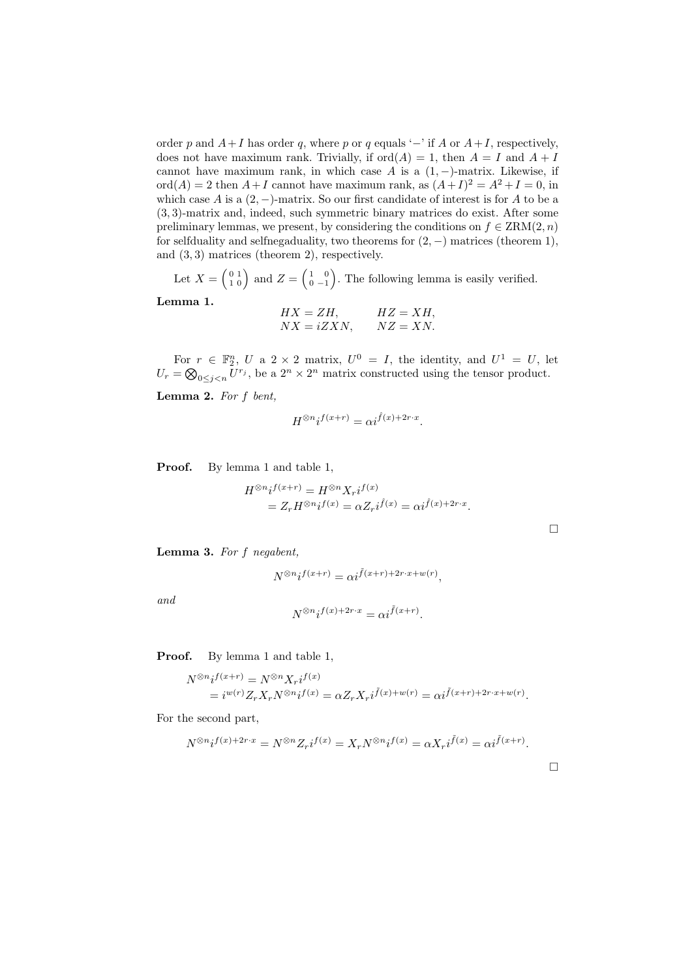order p and  $A+I$  has order q, where p or q equals '−' if A or  $A+I$ , respectively, does not have maximum rank. Trivially, if  $\text{ord}(A) = 1$ , then  $A = I$  and  $A + I$ cannot have maximum rank, in which case A is a  $(1, -)$ -matrix. Likewise, if  $\text{ord}(A) = 2$  then  $A + I$  cannot have maximum rank, as  $(A + I)^2 = A^2 + I = 0$ , in which case A is a  $(2, -)$ -matrix. So our first candidate of interest is for A to be a (3, 3)-matrix and, indeed, such symmetric binary matrices do exist. After some preliminary lemmas, we present, by considering the conditions on  $f \in \text{ZRM}(2,n)$ for selfduality and selfnegaduality, two theorems for  $(2, -)$  matrices (theorem 1), and (3, 3) matrices (theorem 2), respectively.

Let  $X = \begin{pmatrix} 0 & 1 \\ 1 & 0 \end{pmatrix}$  and  $Z = \begin{pmatrix} 1 & 0 \\ 0 & -1 \end{pmatrix}$ . The following lemma is easily verified.

Lemma 1.

 $HX = ZH$ ,  $HZ = XH$ ,  $NX = iZXN$ ,  $NZ = XN$ .

For  $r \in \mathbb{F}_2^n$ , U a 2 × 2 matrix,  $U^0 = I$ , the identity, and  $U^1 = U$ , let  $U_r = \bigotimes_{0 \leq j < n} U^{r_j}$ , be a  $2^n \times 2^n$  matrix constructed using the tensor product.

Lemma 2. For  $f$  bent,

$$
H^{\otimes n}i^{f(x+r)} = \alpha i^{\hat{f}(x) + 2r \cdot x}.
$$

Proof. By lemma 1 and table 1,

$$
H^{\otimes n}i^{f(x+r)} = H^{\otimes n}X_{r}i^{f(x)}
$$
  
=  $Z_{r}H^{\otimes n}i^{f(x)} = \alpha Z_{r}i^{\hat{f}(x)} = \alpha i^{\hat{f}(x)+2r \cdot x}.$ 

Lemma 3. For f negabent,

$$
N^{\otimes n}i^{f(x+r)} = \alpha i^{\tilde{f}(x+r) + 2r \cdot x + w(r)},
$$

and

$$
N^{\otimes n}i^{f(x)+2r\cdot x} = \alpha i^{\tilde{f}(x+r)}.
$$

Proof. By lemma 1 and table 1,

$$
\begin{split} N^{\otimes n}i^{f(x+r)}&=N^{\otimes n}X_{r}i^{f(x)}\\ &=i^{w(r)}Z_{r}X_{r}N^{\otimes n}i^{f(x)}=\alpha Z_{r}X_{r}i^{\tilde{f}(x)+w(r)}=\alpha i^{\tilde{f}(x+r)+2r\cdot x+w(r)}. \end{split}
$$

For the second part,

$$
N^{\otimes n}i^{f(x)+2r\cdot x} = N^{\otimes n}Z_{r}i^{f(x)} = X_{r}N^{\otimes n}i^{f(x)} = \alpha X_{r}i^{\tilde{f}(x)} = \alpha i^{\tilde{f}(x+r)}.
$$

 $\Box$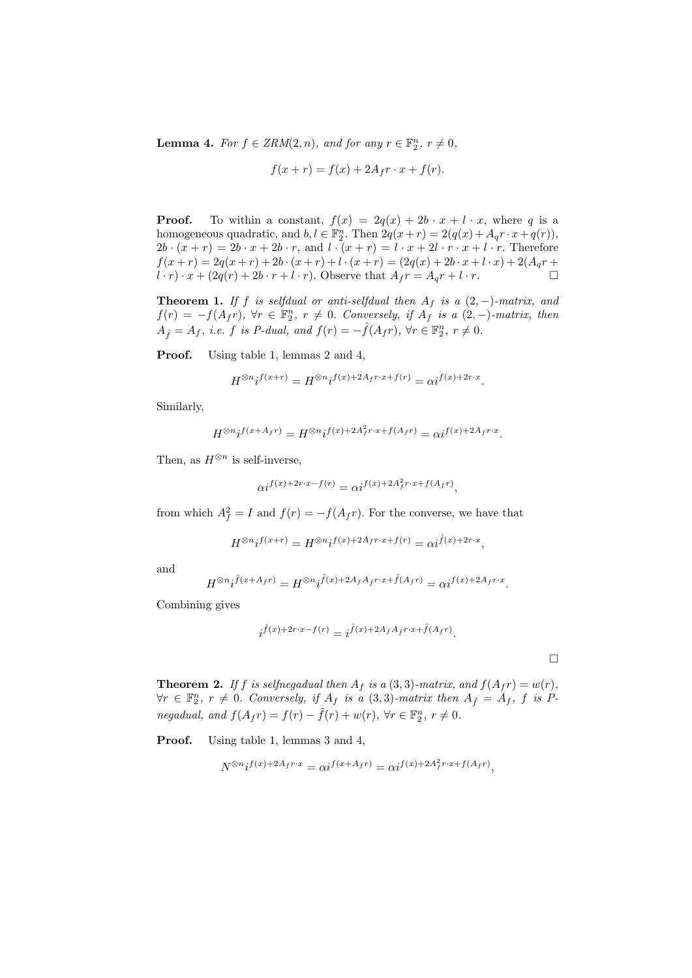**Lemma 4.** For  $f \in \text{ZRM}(2, n)$ , and for any  $r \in \mathbb{F}_2^n$ ,  $r \neq 0$ ,

$$
f(x+r) = f(x) + 2A_f r \cdot x + f(r).
$$

**Proof.** To within a constant,  $f(x) = 2q(x) + 2b \cdot x + l \cdot x$ , where q is a homogeneous quadratic, and  $b, l \in \mathbb{F}_2^n$ . Then  $2q(x+r) = 2(q(x) + A_q r \cdot x + q(r)),$  $2b \cdot (x + r) = 2b \cdot x + 2b \cdot r$ , and  $l \cdot (x + r) = l \cdot x + 2l \cdot r \cdot x + l \cdot r$ . Therefore  $f(x + r) = 2q(x + r) + 2b \cdot (x + r) + l \cdot (x + r) = (2q(x) + 2b \cdot x + l \cdot x) + 2(A_q r + r)$  $l \cdot r) \cdot x + (2q(r) + 2b \cdot r + l \cdot r)$ . Observe that  $A_f r = A_q r + l \cdot r$ .

**Theorem 1.** If f is selfdual or anti-selfdual then  $A_f$  is a  $(2, -)$ -matrix, and  $f(r) = -f(A_f r)$ ,  $\forall r \in \mathbb{F}_2^n$ ,  $r \neq 0$ . Conversely, if  $A_f$  is a  $(2, -)$ -matrix, then  $A_{\hat{f}} = A_f$ , i.e. f is P-dual, and  $f(r) = -\hat{f}(A_f r)$ ,  $\forall r \in \mathbb{F}_2^n$ ,  $r \neq 0$ .

Proof. Using table 1, lemmas 2 and 4,

$$
H^{\otimes n} i^{f(x+r)} = H^{\otimes n} i^{f(x)+2A_f r\cdot x + f(r)} = \alpha i^{f(x)+2r\cdot x}.
$$

Similarly,

$$
H^{\otimes n} i^{f(x+Ar)} = H^{\otimes n} i^{f(x)+2A_f^2 r\cdot x + f(A_f r)} = \alpha i^{f(x)+2A_f r\cdot x}.
$$

Then, as  $H^{\otimes n}$  is self-inverse,

$$
\alpha i^{f(x)+2r\cdot x-f(r)} = \alpha i^{f(x)+2A_f^2r\cdot x+f(A_f r)},
$$

from which  $A_f^2 = I$  and  $f(r) = -f(A_f r)$ . For the converse, we have that

$$
H^{\otimes n}i^{f(x+r)} = H^{\otimes n}i^{f(x)+2A_f r\cdot x + f(r)} = \alpha i^{\hat{f}(x)+2r\cdot x},
$$

and

$$
H^{\otimes n}i^{\hat{f}(x+A_f r)} = H^{\otimes n}i^{\hat{f}(x)+2A_f A_{\hat{f}} r \cdot x + \hat{f}(A_f r)} = \alpha i^{f(x)+2A_f r \cdot x}.
$$

Combining gives

$$
i^{\hat{f}(x) + 2r \cdot x - f(r)} = i^{\hat{f}(x) + 2A_f A_f r \cdot x + \hat{f}(A_f r)}.
$$

 $\Box$ 

**Theorem 2.** If f is selfnegadual then  $A_f$  is a  $(3,3)$ -matrix, and  $f(A_f r) = w(r)$ ,  $\forall r \in \mathbb{F}_2^n$ ,  $r \neq 0$ . Conversely, if  $A_f$  is a  $(3,3)$ -matrix then  $A_{\tilde{f}} = A_f$ , f is Pnegadual, and  $f(A_f r) = f(r) - \tilde{f}(r) + w(r)$ ,  $\forall r \in \mathbb{F}_2^n$ ,  $r \neq 0$ .

Proof. Using table 1, lemmas 3 and 4,

$$
N^{\otimes n}i^{f(x)+2A_f r \cdot x} = \alpha i^{f(x+A_f r)} = \alpha i^{f(x)+2A_f^2 r \cdot x + f(A_f r)},
$$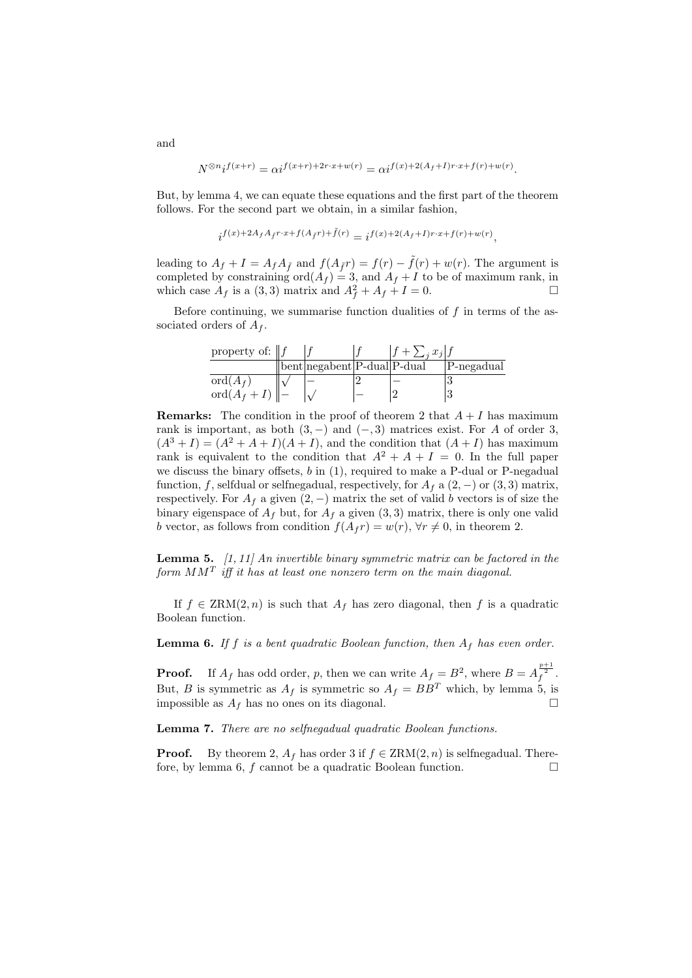$$
N^{\otimes n}i^{f(x+r)}=\alpha i^{f(x+r)+2r\cdot x+w(r)}=\alpha i^{f(x)+2(A_f+I)r\cdot x+f(r)+w(r)}.
$$

But, by lemma 4, we can equate these equations and the first part of the theorem follows. For the second part we obtain, in a similar fashion,

$$
i^{f(x)+2A_fA_{\tilde{f}}r\cdot x+f(A_{\tilde{f}}r)+\tilde{f}(r)}=i^{f(x)+2(A_f+I)r\cdot x+f(r)+w(r)},
$$

leading to  $A_f + I = A_f A_{\tilde{f}}$  and  $f(A_{\tilde{f}}r) = f(r) - \tilde{f}(r) + w(r)$ . The argument is completed by constraining  $\text{ord}(A_f) = 3$ , and  $A_f + I$  to be of maximum rank, in which case  $A_f$  is a (3, 3) matrix and  $A_f^2 + A_f + I = 0$ .

Before continuing, we summarise function dualities of  $f$  in terms of the associated orders of  $A_f$ .

| property of: $  f  $            |                                                                  | $+$ $\sum_i x_i$ |            |
|---------------------------------|------------------------------------------------------------------|------------------|------------|
|                                 | $\vert\vert$ bent $\vert$ negabent $\vert$ P-dual $\vert$ P-dual |                  | P-negadual |
| $\mathrm{ord}(A_f)$             |                                                                  |                  |            |
| $\operatorname{ord}(A_f+I)\ $ - |                                                                  |                  |            |

**Remarks:** The condition in the proof of theorem 2 that  $A + I$  has maximum rank is important, as both  $(3, -)$  and  $(-, 3)$  matrices exist. For A of order 3,  $(A^{3}+I)=(A^{2}+A+I)(A+I)$ , and the condition that  $(A+I)$  has maximum rank is equivalent to the condition that  $A^2 + A + I = 0$ . In the full paper we discuss the binary offsets,  $b$  in  $(1)$ , required to make a P-dual or P-negadual function, f, selfdual or selfnegadual, respectively, for  $A_f$  a  $(2, -)$  or  $(3, 3)$  matrix, respectively. For  $A_f$  a given  $(2, -)$  matrix the set of valid b vectors is of size the binary eigenspace of  $A_f$  but, for  $A_f$  a given  $(3,3)$  matrix, there is only one valid b vector, as follows from condition  $f(A_f r) = w(r)$ ,  $\forall r \neq 0$ , in theorem 2.

**Lemma 5.**  $\left[1, 11\right]$  An invertible binary symmetric matrix can be factored in the form  $MM^T$  iff it has at least one nonzero term on the main diagonal.

If  $f \in \text{ZRM}(2,n)$  is such that  $A_f$  has zero diagonal, then f is a quadratic Boolean function.

**Lemma 6.** If f is a bent quadratic Boolean function, then  $A_f$  has even order.

**Proof.** If  $A_f$  has odd order, p, then we can write  $A_f = B^2$ , where  $B = A_f^{\frac{p+1}{2}}$ . But, B is symmetric as  $A_f$  is symmetric so  $A_f = BB^T$  which, by lemma 5, is impossible as  $A_f$  has no ones on its diagonal.

Lemma 7. There are no selfnegadual quadratic Boolean functions.

**Proof.** By theorem 2,  $A_f$  has order 3 if  $f \in \text{ZRM}(2, n)$  is selfnegadual. Therefore, by lemma 6,  $f$  cannot be a quadratic Boolean function.  $\Box$ 

and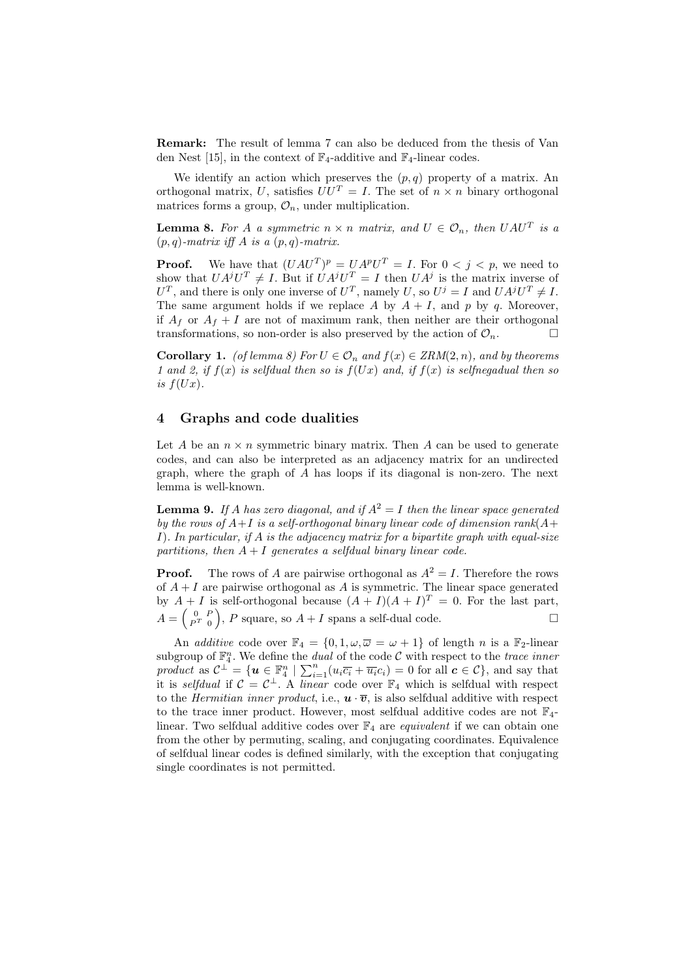Remark: The result of lemma 7 can also be deduced from the thesis of Van den Nest [15], in the context of  $\mathbb{F}_4$ -additive and  $\mathbb{F}_4$ -linear codes.

We identify an action which preserves the  $(p, q)$  property of a matrix. An orthogonal matrix, U, satisfies  $UU^T = I$ . The set of  $n \times n$  binary orthogonal matrices forms a group,  $\mathcal{O}_n$ , under multiplication.

**Lemma 8.** For A a symmetric  $n \times n$  matrix, and  $U \in \mathcal{O}_n$ , then  $UAU^T$  is a  $(p, q)$ -matrix iff A is a  $(p, q)$ -matrix.

**Proof.** We have that  $(UAU^T)^p = U A^p U^T = I$ . For  $0 < j < p$ , we need to show that  $UA^jU^T \neq I$ . But if  $UA^jU^T = I$  then  $UA^j$  is the matrix inverse of  $U^T$ , and there is only one inverse of  $U^T$ , namely U, so  $U^j = I$  and  $UA^jU^T \neq I$ . The same argument holds if we replace A by  $A + I$ , and p by q. Moreover, if  $A_f$  or  $A_f + I$  are not of maximum rank, then neither are their orthogonal transformations, so non-order is also preserved by the action of  $\mathcal{O}_n$ .

**Corollary 1.** (of lemma 8) For  $U \in \mathcal{O}_n$  and  $f(x) \in \text{ZRM}(2,n)$ , and by theorems 1 and 2, if  $f(x)$  is selfdual then so is  $f(Ux)$  and, if  $f(x)$  is selfnegadual then so is  $f(Ux)$ .

#### 4 Graphs and code dualities

Let A be an  $n \times n$  symmetric binary matrix. Then A can be used to generate codes, and can also be interpreted as an adjacency matrix for an undirected graph, where the graph of A has loops if its diagonal is non-zero. The next lemma is well-known.

**Lemma 9.** If A has zero diagonal, and if  $A^2 = I$  then the linear space generated by the rows of  $A+I$  is a self-orthogonal binary linear code of dimension rank( $A+I$ I). In particular, if A is the adjacency matrix for a bipartite graph with equal-size partitions, then  $A + I$  generates a selfdual binary linear code.

**Proof.** The rows of A are pairwise orthogonal as  $A^2 = I$ . Therefore the rows of  $A + I$  are pairwise orthogonal as A is symmetric. The linear space generated by  $A + I$  is self-orthogonal because  $(A + I)(A + I)^{T} = 0$ . For the last part,  $A=\left(\begin{array}{cc} 0 & F \\ P^T & 0 \end{array}\right)$  $\left( \begin{smallmatrix} 0 & P \\ P^T & 0 \end{smallmatrix} \right)$ , P square, so  $A + I$  spans a self-dual code.

An *additive* code over  $\mathbb{F}_4 = \{0, 1, \omega, \overline{\omega} = \omega + 1\}$  of length *n* is a  $\mathbb{F}_2$ -linear subgroup of  $\mathbb{F}_4^n$ . We define the *dual* of the code C with respect to the trace inner subgroup of  $\mathbb{F}_4$ . We define the *didat* of the code c with respect to the *three inner*<br>product as  $C^{\perp} = {\boldsymbol{u} \in \mathbb{F}_4^n \mid \sum_{i=1}^n (u_i \overline{c_i} + \overline{u_i} c_i)} = 0$  for all  $\mathbf{c} \in C}$ , and say that it is selfdual if  $C = C^{\perp}$ . A *linear* code over  $\mathbb{F}_4$  which is selfdual with respect to the *Hermitian inner product*, i.e.,  $\mathbf{u} \cdot \overline{\mathbf{v}}$ , is also selfdual additive with respect to the trace inner product. However, most selfdual additive codes are not  $\mathbb{F}_4$ linear. Two selfdual additive codes over  $\mathbb{F}_4$  are *equivalent* if we can obtain one from the other by permuting, scaling, and conjugating coordinates. Equivalence of selfdual linear codes is defined similarly, with the exception that conjugating single coordinates is not permitted.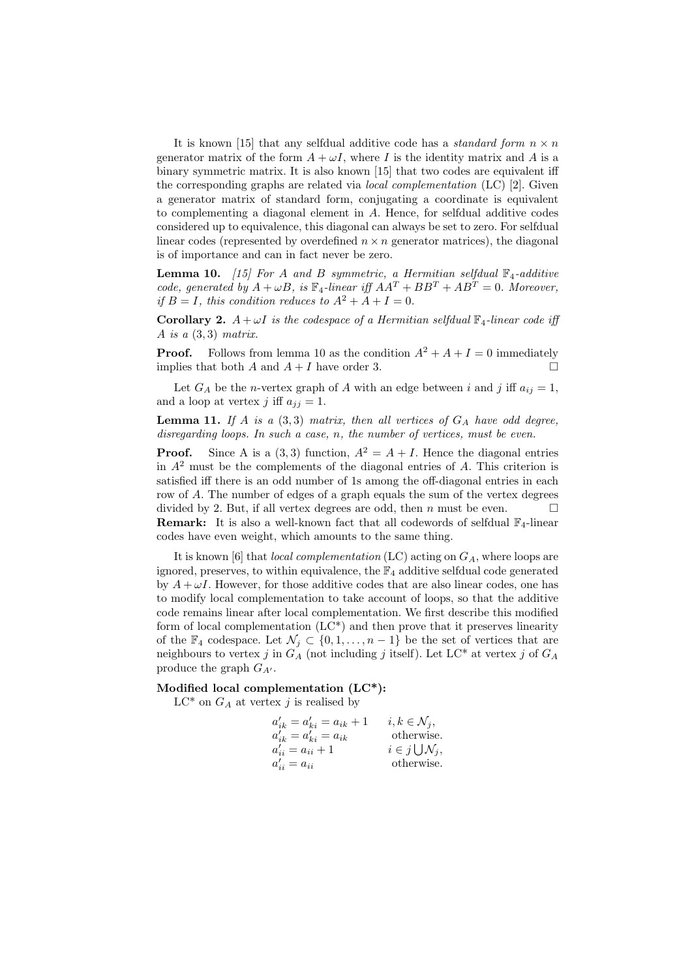It is known [15] that any selfdual additive code has a *standard form*  $n \times n$ generator matrix of the form  $A + \omega I$ , where I is the identity matrix and A is a binary symmetric matrix. It is also known [15] that two codes are equivalent iff the corresponding graphs are related via *local complementation*  $(LC)$  [2]. Given a generator matrix of standard form, conjugating a coordinate is equivalent to complementing a diagonal element in A. Hence, for selfdual additive codes considered up to equivalence, this diagonal can always be set to zero. For selfdual linear codes (represented by overdefined  $n \times n$  generator matrices), the diagonal is of importance and can in fact never be zero.

**Lemma 10.** [15] For A and B symmetric, a Hermitian selfdual  $\mathbb{F}_4$ -additive code, generated by  $A + \omega B$ , is  $\mathbb{F}_4$ -linear iff  $AA^T + BB^T + AB^T = 0$ . Moreover, if  $B = I$ , this condition reduces to  $A^2 + A + I = 0$ .

**Corollary 2.**  $A + \omega I$  is the codespace of a Hermitian selfdual  $\mathbb{F}_4$ -linear code iff A is a  $(3,3)$  matrix.

**Proof.** Follows from lemma 10 as the condition  $A^2 + A + I = 0$  immediately implies that both A and  $A + I$  have order 3.

Let  $G_A$  be the *n*-vertex graph of A with an edge between i and j iff  $a_{ij} = 1$ , and a loop at vertex j iff  $a_{ij} = 1$ .

**Lemma 11.** If A is a  $(3,3)$  matrix, then all vertices of  $G_A$  have odd degree, disregarding loops. In such a case, n, the number of vertices, must be even.

**Proof.** Since A is a (3,3) function,  $A^2 = A + I$ . Hence the diagonal entries in  $A<sup>2</sup>$  must be the complements of the diagonal entries of A. This criterion is satisfied iff there is an odd number of 1s among the off-diagonal entries in each row of A. The number of edges of a graph equals the sum of the vertex degrees divided by 2. But, if all vertex degrees are odd, then n must be even. **Remark:** It is also a well-known fact that all codewords of selfdual  $\mathbb{F}_4$ -linear codes have even weight, which amounts to the same thing.

It is known [6] that *local complementation* (LC) acting on  $G_A$ , where loops are ignored, preserves, to within equivalence, the  $\mathbb{F}_4$  additive selfdual code generated by  $A + \omega I$ . However, for those additive codes that are also linear codes, one has to modify local complementation to take account of loops, so that the additive code remains linear after local complementation. We first describe this modified form of local complementation  $(LC^*)$  and then prove that it preserves linearity of the  $\mathbb{F}_4$  codespace. Let  $\mathcal{N}_j \subset \{0, 1, \ldots, n-1\}$  be the set of vertices that are neighbours to vertex j in  $G_A$  (not including j itself). Let LC<sup>\*</sup> at vertex j of  $G_A$ produce the graph  $G_{A'}$ .

#### Modified local complementation (LC\*):

 $LC^*$  on  $G_A$  at vertex j is realised by

$$
\begin{array}{ll} a'_{ik}=a'_{ki}=a_{ik}+1 & \quad i,k\in\mathcal{N}_j,\\ a'_{ik}=a'_{ki}=a_{ik} & \quad \text{otherwise.}\\ a'_{ii}=a_{ii}+1 & \quad i\in j\bigcup\mathcal{N}_j,\\ a'_{ii}=a_{ii} & \quad \text{otherwise.}\end{array}
$$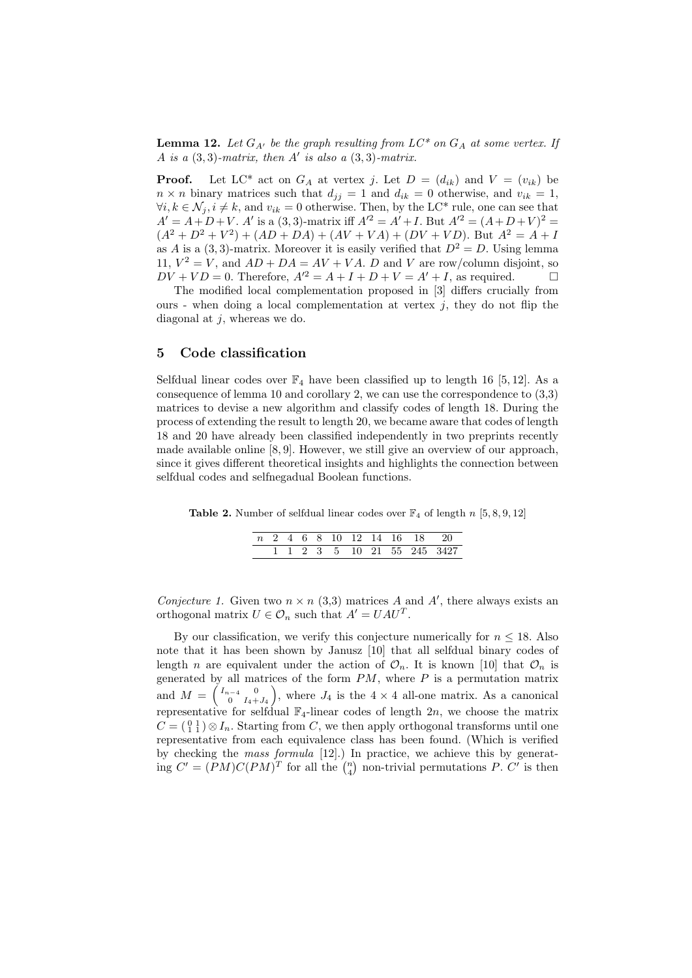**Lemma 12.** Let  $G_{A'}$  be the graph resulting from  $LC^*$  on  $G_A$  at some vertex. If A is a  $(3,3)$ -matrix, then A' is also a  $(3,3)$ -matrix.

**Proof.** Let LC\* act on  $G_A$  at vertex j. Let  $D = (d_{ik})$  and  $V = (v_{ik})$  be  $n \times n$  binary matrices such that  $d_{ij} = 1$  and  $d_{ik} = 0$  otherwise, and  $v_{ik} = 1$ ,  $\forall i, k \in \mathcal{N}_i, i \neq k$ , and  $v_{ik} = 0$  otherwise. Then, by the LC\* rule, one can see that  $A' = A + D + V$ . A' is a (3,3)-matrix iff  $A'^2 = A' + I$ . But  $A'^2 = (A + D + V)^2$  $(A^{2} + D^{2} + V^{2}) + (AD + DA) + (AV + VA) + (DV + VD)$ . But  $A^{2} = A + D^{2}$ as A is a (3,3)-matrix. Moreover it is easily verified that  $D^2 = D$ . Using lemma 11,  $V^2 = V$ , and  $AD + DA = AV + VA$ . D and V are row/column disjoint, so  $DV + VD = 0$ . Therefore,  $A'^2 = A + I + D + V = A' + I$ , as required.

The modified local complementation proposed in [3] differs crucially from ours - when doing a local complementation at vertex  $j$ , they do not flip the diagonal at  $j$ , whereas we do.

#### 5 Code classification

Selfdual linear codes over  $\mathbb{F}_4$  have been classified up to length 16 [5, 12]. As a consequence of lemma 10 and corollary 2, we can use the correspondence to (3,3) matrices to devise a new algorithm and classify codes of length 18. During the process of extending the result to length 20, we became aware that codes of length 18 and 20 have already been classified independently in two preprints recently made available online [8, 9]. However, we still give an overview of our approach, since it gives different theoretical insights and highlights the connection between selfdual codes and selfnegadual Boolean functions.

Table 2. Number of selfdual linear codes over  $\mathbb{F}_4$  of length n [5, 8, 9, 12]

|  |  |  |  |  | n 2 4 6 8 10 12 14 16 18 20 |
|--|--|--|--|--|-----------------------------|
|  |  |  |  |  | 1 1 2 3 5 10 21 55 245 3427 |

Conjecture 1. Given two  $n \times n$  (3,3) matrices A and A', there always exists an orthogonal matrix  $U \in \mathcal{O}_n$  such that  $A' = UAU^T$ .

By our classification, we verify this conjecture numerically for  $n \leq 18$ . Also note that it has been shown by Janusz [10] that all selfdual binary codes of length n are equivalent under the action of  $\mathcal{O}_n$ . It is known [10] that  $\mathcal{O}_n$  is generated by all matrices of the form  $PM$ , where  $P$  is a permutation matrix and  $M = \begin{pmatrix} I_{n-4} & 0 \\ 0 & I_{n+4} \end{pmatrix}$  $\begin{pmatrix} 0 & 0 \\ 0 & I_4+J_4 \end{pmatrix}$ , where  $J_4$  is the  $4 \times 4$  all-one matrix. As a canonical representative for selfdual  $\mathbb{F}_4$ -linear codes of length 2n, we choose the matrix  $C = \begin{pmatrix} 0 & 1 \\ 1 & 1 \end{pmatrix} \otimes I_n$ . Starting from C, we then apply orthogonal transforms until one representative from each equivalence class has been found. (Which is verified by checking the mass formula [12].) In practice, we achieve this by generating  $C' = (PM)C(PM)^T$  for all the  $\binom{n}{4}$  non-trivial permutations P. C' is then